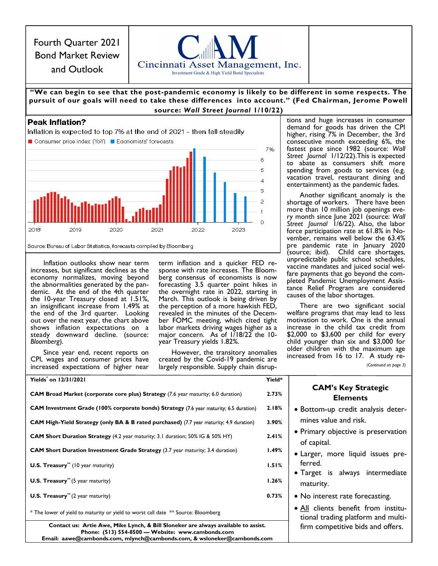Fourth Quarter 2021 Bond Market Review and Outlook



## **"We can begin to see that the post -pandemic economy is likely to be different in some respects. The pursuit of our goals will need to take these differences into account." (Fed Chairman, Jerome Powell source:** *Wall Street Journal* **1/10/22)**

# **Peak Inflation?**



Inflation outlooks show near term increases, but significant declines as the economy normalizes, moving beyond the abnormalities generated by the pandemic. At the end of the 4th quarter the 10-year Treasury closed at 1.51%, an insignificant increase from 1.49% at the end of the 3rd quarter. Looking out over the next year, the chart above shows inflation expectations on a steady downward decline. (source: *Bloomberg*).

Since year end, recent reports on CPI, wages and consumer prices have increased expectations of higher near term inflation and a quicker FED response with rate increases. The Bloomberg consensus of economists is now forecasting 3.5 quarter point hikes in the overnight rate in 2022, starting in March. This outlook is being driven by the perception of a more hawkish FED, revealed in the minutes of the December FOMC meeting, which cited tight labor markets driving wages higher as a major concern. As of 1/18/22 the 10year Treasury yields 1.82%.

However, the transitory anomalies created by the Covid-19 pandemic are largely responsible. Supply chain disruptions and huge increases in consumer demand for goods has driven the CPI higher, rising 7% in December, the 3rd consecutive month exceeding 6%, the fastest pace since 1982 (source: *Wall Street Journal* 1/12/22).This is expected to abate as consumers shift more spending from goods to services (e.g. vacation travel, restaurant dining and entertainment) as the pandemic fades.

Another significant anomaly is the shortage of workers. There have been more than 10 million job openings every month since June 2021 (source: *Wall Street Journal* 1/6/22). Also, the labor force participation rate at 61.8% in November, remains well below the 63.4% pre pandemic rate in January 2020 (source; ibid). Child care shortages, unpredictable public school schedules, vaccine mandates and juiced social welfare payments that go beyond the completed Pandemic Unemployment Assistance Relief Program are considered causes of the labor shortages.

There are two significant social welfare programs that may lead to less motivation to work. One is the annual increase in the child tax credit from \$2,000 to \$3,600 per child for every child younger than six and \$3,000 for older children with the maximum age increased from 16 to 17. A study re-

*(Continued on page 3)*

| Yields on 12/31/2021                                                                                                                                                                                               | Yield*                                                                    |                                                    |  |  |
|--------------------------------------------------------------------------------------------------------------------------------------------------------------------------------------------------------------------|---------------------------------------------------------------------------|----------------------------------------------------|--|--|
| <b>CAM Broad Market (corporate core plus) Strategy</b> (7.6 year maturity; 6.0 duration)                                                                                                                           | 2.73%                                                                     | <b>CAM's Key Strategic</b><br><b>Elements</b>      |  |  |
| <b>CAM Investment Grade (100% corporate bonds) Strategy (7.6 year maturity; 6.5 duration)</b>                                                                                                                      | 2.18%                                                                     | • Bottom-up credit analysis deter-                 |  |  |
| <b>CAM High-Yield Strategy (only BA &amp; B rated purchased)</b> (7.7 year maturity; 4.9 duration)                                                                                                                 | 3.90%                                                                     | mines value and risk.                              |  |  |
| <b>CAM Short Duration Strategy</b> (4.2 year maturity; 3.1 duration; 50% IG & 50% HY)                                                                                                                              | 2.41%                                                                     | • Primary objective is preservation<br>of capital. |  |  |
| <b>CAM Short Duration Investment Grade Strategy</b> (3.7 year maturity; 3.4 duration)                                                                                                                              | 1.49%                                                                     | • Larger, more liquid issues pre-                  |  |  |
| <b>U.S. Treasury</b> <sup>**</sup> (10 year maturity)                                                                                                                                                              | 1.51%                                                                     | ferred.                                            |  |  |
| <b>U.S. Treasury</b> <sup>**</sup> (5 year maturity)                                                                                                                                                               | 1.26%                                                                     | • Target is always intermediate<br>maturity.       |  |  |
| <b>U.S. Treasury</b> <sup>**</sup> (2 year maturity)                                                                                                                                                               | 0.73%                                                                     | • No interest rate forecasting.                    |  |  |
| * The lower of yield to maturity or yield to worst call date ** Source: Bloomberg                                                                                                                                  | · All clients benefit from institu-<br>tional trading platform and multi- |                                                    |  |  |
| Contact us: Artie Awe, Mike Lynch, & Bill Sloneker are always available to assist.<br>Phone: (513) 554-8500 - Website: www.cambonds.com<br>Email: aawe@cambonds.com, mlynch@cambonds.com, & wsloneker@cambonds.com | firm competitive bids and offers.                                         |                                                    |  |  |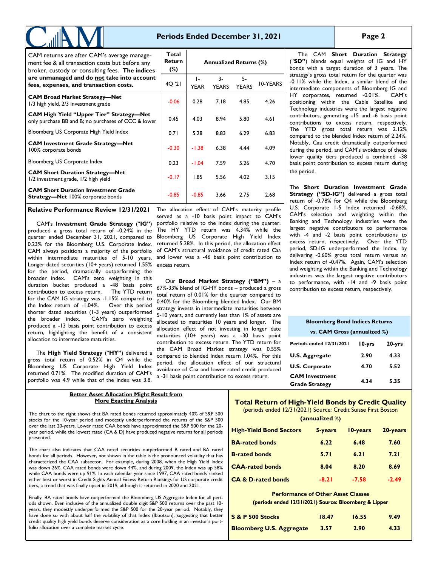# **Periods Ended December 31, 2021**

| CAM returns are after CAM's average manage-<br>ment fee & all transaction costs but before any<br>broker, custody or consulting fees. The indices | Total<br><b>Return</b><br>$(\%)$ | <b>Annualized Returns (%)</b> |                      |                    |                 |  |  |  |
|---------------------------------------------------------------------------------------------------------------------------------------------------|----------------------------------|-------------------------------|----------------------|--------------------|-----------------|--|--|--|
| are unmanaged and do not take into account<br>fees, expenses, and transaction costs.                                                              | 4Q '21                           | $\mathsf{L}$<br><b>YEAR</b>   | $3-$<br><b>YEARS</b> | 5-<br><b>YEARS</b> | <b>IO-YEARS</b> |  |  |  |
| <b>CAM Broad Market Strategy-Net</b><br>1/3 high yield, 2/3 investment grade                                                                      | $-0.06$                          | 0.28                          | 7.18                 | 4.85               | 4.26            |  |  |  |
| <b>CAM High Yield "Upper Tier" Strategy—Net</b><br>only purchase BB and B; no purchases of CCC & lower                                            | 0.45                             | 4.03                          | 8.94                 | 5.80               | 4.61            |  |  |  |
| Bloomberg US Corporate High Yield Index                                                                                                           | 0.71                             | 5.28                          | 8.83                 | 6.29               | 6.83            |  |  |  |
| <b>CAM Investment Grade Strategy-Net</b><br>100% corporate bonds                                                                                  | $-0.30$                          | $-1.38$                       | 6.38                 | 4.44               | 4.09            |  |  |  |
| Bloomberg US Corporate Index                                                                                                                      | 0.23                             | $-1.04$                       | 7.59                 | 5.26               | 4.70            |  |  |  |
| <b>CAM Short Duration Strategy-Net</b><br>1/2 investment grade, 1/2 high yield                                                                    | $-0.17$                          | 1.85                          | 5.56                 | 4.02               | 3.15            |  |  |  |
| <b>CAM Short Duration Investment Grade</b><br><b>Strategy-Net 100% corporate bonds</b>                                                            | $-0.85$                          | $-0.85$                       | 3.66                 | 2.75               | 2.68            |  |  |  |

**Relative Performance Review 12/31/2021**

CAM's **Investment Grade Strategy** ("**IG"**) produced a gross total return of -0.24% in the quarter ended December 31, 2021, compared to 0.23% for the Bloomberg U.S. Corporate Index. CAM always positions a majority of the portfolio within intermediate maturities of 5-10 years. Longer dated securities (10+ years) returned 1.55% for the period, dramatically outperforming the broader index. CAM's zero weighting in this duration bucket produced a -48 basis point contribution to excess return. The YTD return for the CAM IG strategy was -1.15% compared to the Index return of -1.04%. Over this period shorter dated securities (1-3 years) outperformed<br>the broader index. CAM's zero weighting CAM's zero weighting produced a -13 basis point contribution to excess return, highlighting the benefit of a consistent allocation to intermediate maturities.

The **High Yield Strategy** ("**HY"**) delivered a gross total return of 0.52% in Q4 while the Bloomberg US Corporate High Yield Index returned 0.71%. The modified duration of CAM's portfolio was 4.9 while that of the index was 3.8.

The allocation effect of CAM's maturity profile served as a -10 basis point impact to CAM's portfolio relative to the index during the quarter. The HY YTD return was 4.34% while the Bloomberg US Corporate High Yield Index returned 5.28%. In this period, the allocation effect of CAM's structural avoidance of credit rated Caa and lower was a -46 basis point contribution to excess return.

Our **Broad Market Strategy ("BM")** – a 67%-33% blend of IG-HY bonds – produced a gross total return of 0.01% for the quarter compared to 0.40% for the Bloomberg blended Index. Our BM strategy invests in intermediate maturities between 5-10 years, and currently less than 1% of assets are allocated to maturities 10 years and longer. The allocation effect of not investing in longer date maturities (10+ years) was a -30 basis point contribution to excess return. The YTD return for the CAM Broad Market strategy was 0.55% compared to blended Index return 1.04%. For this period, the allocation effect of our structural avoidance of Caa and lower rated credit produced a -31 basis point contribution to excess return.

The CAM **Short Duration Strategy**  ("**SD"**) blends equal weights of IG and HY bonds with a target duration of 3 years. The strategy's gross total return for the quarter was -0.11% while the Index, a similar blend of the intermediate components of Bloomberg IG and HY corporates, returned -0.01%. CAM's positioning within the Cable Satellite and Technology industries were the largest negative contributors, generating -15 and -6 basis point contributions to excess return, respectively. The YTD gross total return was 2.12% compared to the blended Index return of 2.24%. Notably, Caa credit dramatically outperformed during the period, and CAM's avoidance of these lower quality tiers produced a combined -38 basis point contribution to excess return during the period.

The **Short Duration Investment Grade Strategy ("SD-IG")** delivered a gross total return of -0.78% for Q4 while the Bloomberg U.S. Corporate 1-5 Index returned -0.68%. CAM's selection and weighting within the Banking and Technology industries were the largest negative contributors to performance with -4 and -2 basis point contributions to excess return, respectively. Over the YTD period, SD-IG underperformed the Index, by delivering -0.60% gross total return versus an Index return of -0.47%. Again, CAM's selection and weighting within the Banking and Technology industries was the largest negative contributors to performance, with -14 and -9 basis point contribution to excess return, respectively.

| <b>Bloomberg Bond Indices Returns</b><br>vs. CAM Gross (annualized %) |      |      |  |  |  |  |  |  |  |  |
|-----------------------------------------------------------------------|------|------|--|--|--|--|--|--|--|--|
| Periods ended 12/31/2021<br>l 0-yrs<br>20-yrs                         |      |      |  |  |  |  |  |  |  |  |
|                                                                       |      |      |  |  |  |  |  |  |  |  |
| <b>U.S. Aggregate</b>                                                 | 2.90 | 4.33 |  |  |  |  |  |  |  |  |
| <b>U.S. Corporate</b>                                                 | 4.70 | 5.52 |  |  |  |  |  |  |  |  |
| <b>CAM</b> Investment<br><b>Grade Strategy</b>                        | 4.34 | 5.35 |  |  |  |  |  |  |  |  |

### **Better Asset Allocation Might Result from More Exacting Analysis**

The chart to the right shows that BA rated bonds returned approximately 40% of S&P 500 stocks for the 10-year period and modestly underperformed the returns of the S&P 500 over the last 20-years. Lower rated CAA bonds have approximated the S&P 500 for the 20 year period, while the lowest rated (CA & D) have produced negative returns for all periods presented.

The chart also indicates that CAA rated securities outperformed B rated and BA rated bonds for all periods. However, not shown in the table is the pronounced volatility that has characterized the CAA subsector. For example, during 2008, when the High Yield Index was down 26%, CAA rated bonds were down 44%, and during 2009, the Index was up 58% while CAA bonds were up 91%. In each calendar year since 1997, CAA rated bonds ranked either best or worst in Credit Sights Annual Excess Return Rankings for US corporate credit tiers, a trend that was finally upset in 2019, although it returned in 2020 and 2021.

Finally, BA rated bonds have outperformed the Bloomberg US Aggregate Index for all periods shown. Even inclusive of the annualized double digit S&P 500 returns over the past 10 years, they modestly underperformed the S&P 500 for the 20-year period. Notably, they have done so with about half the volatility of that Index (Ibbotson), suggesting that better credit quality high yield bonds deserve consideration as a core holding in an investor's portfolio allocation over a complete market cycle.

# **Total Return of High-Yield Bonds by Credit Quality**

(periods ended 12/31/2021) Source: Credit Suisse First Boston

| (annualized %) |                                |         |          |          |  |  |  |  |  |  |  |  |
|----------------|--------------------------------|---------|----------|----------|--|--|--|--|--|--|--|--|
|                | <b>High-Yield Bond Sectors</b> | 5-years | 10-years | 20-years |  |  |  |  |  |  |  |  |
|                | <b>BA-rated bonds</b>          | 6.22    | 6.48     | 7.60     |  |  |  |  |  |  |  |  |
|                | <b>B-rated bonds</b>           | 5.71    | 6.21     | 7.21     |  |  |  |  |  |  |  |  |
|                | <b>CAA-rated bonds</b>         | 8.04    | 8.20     | 8.69     |  |  |  |  |  |  |  |  |
|                | <b>CA &amp; D-rated bonds</b>  | $-8.21$ | $-7.58$  | $-2.49$  |  |  |  |  |  |  |  |  |

# **Performance of Other Asset Classes**

(periods ended 12/31/2021) Source: Bloomberg & Lipper

| S & P 500 Stocks                | 18.47 | 16.55 | 9.49 |
|---------------------------------|-------|-------|------|
| <b>Bloomberg U.S. Aggregate</b> | 3.57  | 2.90  | 4.33 |

## **Page 2**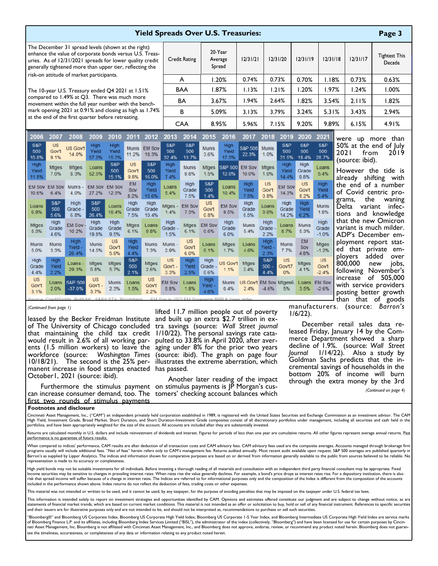| <b>Yield Spreads Over U.S. Treasuries:</b><br>Page 3                                                                                                                                                                                  |                            |                                                                                                      |                              |                            |                            |                            |                              |                              |                            |                             |                         |                                 |                           |                            |                               |                                        |                                                                              |                                                                       |  |
|---------------------------------------------------------------------------------------------------------------------------------------------------------------------------------------------------------------------------------------|----------------------------|------------------------------------------------------------------------------------------------------|------------------------------|----------------------------|----------------------------|----------------------------|------------------------------|------------------------------|----------------------------|-----------------------------|-------------------------|---------------------------------|---------------------------|----------------------------|-------------------------------|----------------------------------------|------------------------------------------------------------------------------|-----------------------------------------------------------------------|--|
| The December 31 spread levels (shown at the right)<br>enhance the value of corporate bonds versus U.S. Treas-<br>uries. As of 12/31/2021 spreads for lower quality credit<br>generally tightened more than upper tier, reflecting the |                            |                                                                                                      |                              |                            | <b>Credit Rating</b>       |                            | 20 Year<br>Average<br>Spread |                              | 12/31/21                   |                             | 12/31/20                | 12/31/19                        | 12/31/18                  |                            | 12/31/17                      | <b>Tightest This</b><br>Decade         |                                                                              |                                                                       |  |
| risk-on attitude of market participants.                                                                                                                                                                                              |                            |                                                                                                      |                              |                            | A                          |                            | 1.20%                        |                              | 0.74%                      |                             | 0.73%                   | 0.70%                           | 1.18%                     |                            | 0.73%                         | 0.63%                                  |                                                                              |                                                                       |  |
| The 10-year U.S. Treasury ended Q4 2021 at 1.51%                                                                                                                                                                                      |                            |                                                                                                      |                              |                            | <b>BAA</b>                 |                            | 1.87%                        |                              | 1.13%                      |                             | 1.21%                   | 1.20%                           | 1.97%                     |                            | 1.24%                         | 1.00%                                  |                                                                              |                                                                       |  |
|                                                                                                                                                                                                                                       |                            | compared to 1.49% at Q3. There was much more<br>movement within the full year number with the bench- |                              |                            |                            |                            | <b>BA</b>                    |                              | 3.67%                      |                             | 1.94%                   |                                 | 2.64%                     | 1.82%                      | 3.54%                         |                                        | 2.11%                                                                        | 1.82%                                                                 |  |
|                                                                                                                                                                                                                                       |                            | mark opening 2021 at 0.91% and closing as high as 1.74%                                              |                              |                            |                            |                            |                              | В                            |                            | 5.09%                       |                         |                                 | 3.79%                     | 3.24%                      | 5.31%                         |                                        | 3.43%                                                                        | 2.94%                                                                 |  |
| at the end of the first quarter before retreating.                                                                                                                                                                                    |                            |                                                                                                      |                              |                            | <b>CAA</b>                 |                            | 8.95%                        |                              |                            | 7.15%                       | 9.20%                   | 9.89%                           |                           | 6.15%                      | 4.91%                         |                                        |                                                                              |                                                                       |  |
| 2006                                                                                                                                                                                                                                  | 2007                       | 2008                                                                                                 | 2009                         | 2010                       | 2011                       | 2012                       | 2013                         | 2014                         | 2015                       | 2016                        | 2017                    | 2018                            | 2019                      | 2020                       | 2021                          | were                                   | <b>UD</b>                                                                    | than<br>more                                                          |  |
| S&P<br>500<br>15.8%                                                                                                                                                                                                                   | <b>US</b><br>Gov't<br>9.1% | <b>US Gov't</b><br>14.0%                                                                             | High<br>Yield<br>57.5%       | High<br>Yield<br>15.2%     | <b>Munis</b><br>11.2%      | <b>EM Sov</b><br>18.3%     | S&P<br>500<br>32.4%          | S&P<br>500<br>13.7%          | <b>Munis</b><br>3.6%       | High<br>Yield<br>17.5%      | S&P 500<br>22.3%        | <b>Munis</b><br>1.0%            | S&P<br>500<br>31.5%       | S&P<br>500<br>18.4%        | S&P<br>500<br>28.7%           | 50% at the end of July<br>2021<br>from |                                                                              | 2019                                                                  |  |
| High<br>Yield<br>11.8%                                                                                                                                                                                                                | <b>Mtges</b><br>7.0%       | <b>Mtges</b><br>8.3%                                                                                 | Loans<br>52.5%               | S&P<br>500<br>15.1%        | <b>US</b><br>Gov't<br>9.8% | S&P<br>500<br>16.0%        | High<br>Yield<br>7.4%        | <b>Munis</b><br>9.8%         | <b>Mtges</b><br>1.5%       | <b>S&amp;P 500</b><br>12.0% | <b>EM Sov</b><br>10.0%  | <b>Mtges</b><br>1.0%            | High<br>Yield<br>14.4%    | High<br>Grade<br>9.8%      | Loans<br>5.4%                 |                                        | (source: ibid).<br>However the tide is<br>already shifting with              |                                                                       |  |
| <b>EM Sov</b><br>10.6%                                                                                                                                                                                                                | <b>EM Sov</b><br>6.4%      | <b>Munis</b><br>4.0%                                                                                 | <b>EM Sov</b><br>27.2%       | <b>EM Sov</b><br>12.5%     | <b>EM</b><br>Sov<br>8.2%   | High<br>Yield<br>15.6%     | Loans<br>5.4%                | High<br>Grade<br>7.5%        | S&P<br>500<br>1.4%         | Loans<br>10.4%              | High<br>Yield<br>7.5%   | <b>US</b><br>Gov't<br>0.8%      | <b>EM Sov</b><br>14.3%    | <b>US</b><br>Gov't<br>8.2% | High<br>Yield<br>5.4%         |                                        | the                                                                          | the end of a number<br>of Covid centric pro-<br>waning                |  |
| Loans<br>6.9%                                                                                                                                                                                                                         | S&P<br>500<br>5.6%         | High<br>Grade -<br>6.8%                                                                              | S&P<br>500<br>26.4%          | Loans<br>10.4%             | High<br>Grade<br>7.5%      | High<br>Grade<br>10.4%     | <b>Mtges</b><br>1.4%         | <b>EM Sov</b><br>7.3%        | <b>US</b><br>Gov't<br>0.8% | <b>EM Sov</b><br>9.5%       | High<br>Grade<br>6.5%   | Loans<br>0.6%                   | High<br>Grade<br>14.2%    | High<br>Yield<br>6.2%      | <b>Munis</b><br>1.8%          |                                        | grams,<br>Delta<br>variant                                                   | -infec<br>tions and knowledge                                         |  |
| <b>Mtges</b><br>5.3%                                                                                                                                                                                                                  | High<br>Grade<br>4.6%      | <b>EM Sov</b><br>10.2%                                                                               | High<br>Grade<br>19.8%       | High<br>Grade<br>9.5%      | <b>Mtges</b><br>6.1%       | Loans<br>9.8%              | High<br>Grade<br>1.5%        | <b>Mtges</b><br>6.1%         | <b>EM Sov</b><br>0.6%      | High<br>Grade<br>6.0%       | <b>Munis</b><br>5.4%    | High<br>Grade<br>2.2%           | Loans<br>8.7%             | <b>Munis</b><br>5.3%       | High<br>Grade<br>$-1.0%$      |                                        |                                                                              | that the new Omicron<br>variant is much milder.<br>ADP's December em- |  |
| <b>Munis</b><br>5.0%                                                                                                                                                                                                                  | <b>Munis</b><br>3.3%       | High<br>Yield -<br>26.4%                                                                             | <b>Munis</b><br>14.5%        | <b>US</b><br>Gov't<br>5.9% | High<br>Yield<br>4.4%      | <b>Munis</b><br>7.3%       | <b>Munis</b><br>2.9%         | <b>US</b><br>Gov't<br>6.0%   | Loans<br>0.1%              | <b>Mtges</b><br>1.7%        | Loans<br>4.6%           | High<br>Yield<br>2.3%           | <b>Munis</b><br>7.7%      | <b>EM</b><br>Sov<br>4.8%   | <b>Mtges</b><br>$-1.2%$       |                                        | ed that private                                                              | ployment report stat-<br>em-                                          |  |
| High<br>Grade<br>4.4%                                                                                                                                                                                                                 | High<br>Yield<br>2.2%      | Loans<br>29.3%                                                                                       | Mtges<br>5.8%                | <b>Mtges</b><br>5.7%       | S&P<br>500<br>2.1%         | <b>Mtges</b><br>2.6%       | <b>US</b><br>Gov't -<br>3.3% | <b>High</b><br>Yield<br>2.5% | High<br>Grade<br>0.6%      | US Gov't<br>1.1%            | <b>Mtges</b><br>2.4%    | S&P<br>$500 -$<br>4.4%          | <b>US</b><br>Gov't7<br>0% | <b>Mtges</b><br>4.1%       | <b>US</b><br>Gov't<br>$-2.4%$ |                                        | ployers<br>800,000<br>following                                              | added<br>over<br>jobs,<br>new<br>November's                           |  |
| <b>US</b><br>Gov't<br>3.1%                                                                                                                                                                                                            | Loans<br>2.0%              | <b>S&amp;P 500</b><br>-37.0%                                                                         | <b>US</b><br>Gov't -<br>3.7% | <b>Munis</b><br>2.3%       | Loans<br>1.5%              | <b>US</b><br>Gov't<br>2.2% | <b>EM Sov</b><br>5.8%        | Loans<br>1.8%                | High<br>Yield -<br>4.6%    | <b>Munis</b><br>0.4%        | <b>US Gov't</b><br>2.4% | <b>EM Sov Mtges6</b><br>$-4.6%$ | 5%                        | Loans<br>3.5%              | <b>EM Sov</b><br>$-2.6%$      |                                        | 505,000<br>of<br>increase<br>with service providers<br>posting better growth |                                                                       |  |
|                                                                                                                                                                                                                                       |                            |                                                                                                      |                              |                            |                            |                            |                              |                              |                            |                             |                         |                                 |                           |                            |                               | than                                   |                                                                              | that of goods                                                         |  |

### *(Continued from page 1)*

of The University of Chicago concluded that maintaining the child tax credit would result in 2.6% of all working parents (1.5 million workers) to leave the workforce (source: *Washington Times*  10/18/21). The second is the 25% permanent increase in food stamps enacted has passed. October1, 2021 (source: ibid).

can increase consumer demand, too. The tomers' checking account balances which first two rounds of stimulus payments

## **Footnotes and disclosure**

Cincinnati Asset Management, Inc., ("CAM") an independent privately held corporation established in 1989, is registered with the United States Securities and Exchange Commission as an investment advisor. The CAM High Yield, Investment Grade, Broad Market, Short Duration, and Short Duration-Investment Grade composites consist of all discretionary portfolios under management, including all securities and cash held in the portfolios, and have been appropriately weighted for the size of the account. All accounts are included after they are substantially invested.

Returns are calculated monthly in U.S. dollars and include reinvestment of dividends and interest. Figures for periods of less than one year are cumulative returns. All other figures represent average annual returns. Past performance is no guarantee of future results.

When compared to indices' performance, CAM results are after deduction of all transaction costs and CAM advisory fees. CAM advisory fees used are the composite averages. Accounts managed through brokerage firm programs usually will include additional fees. "Net of fees" herein refers only to CAM's management fee. Returns audited annually. Most recent audit available upon request. S&P 500 averages are published quarterly in Barron's as supplied by Lipper Analytics. The indices and information shown for comparative purposes are based on or derived from information generally available to the public from sources believed to be reliable. No representation is made to its accuracy or completeness.

High yield bonds may not be suitable investments for all individuals. Before investing a thorough reading of all materials and consultation with an independent third party financial consultant may be appropriate. Fixed Income securities may be sensitive to changes in prevailing interest rates. When rates rise the value generally declines. For example, a bond's price drops as interest rates rise. For a depository institution, there is also risk that spread income will suffer because of a change in interest rates. The Indices are referred to for informational purposes only and the composition of the Index is different from the composition of the accounts included in the performance shown above. Index returns do not reflect the deduction of fees, trading costs or other expenses.

This material was not intended or written to be used, and it cannot be used, by any taxpayer, for the purpose of avoiding penalties that may be imposed on the taxpayer under U.S. federal tax laws.

This information is intended solely to report on investment strategies and opportunities identified by CAM. Opinions and estimates offered constitute our judgment and are subject to change without notice, as are statements of financial market trends, which are based on current market conditions. This material is not intended as an offer or solicitation to buy, hold or sell of any financial instrument. References to specific securi and their issuers are for illustrative purposes only and are not intended to be, and should not be interpreted as, recommendations to purchase or sell such securities.

"Bloomberg®" and Bloomberg US Corporate Index, Bloomberg US Corporate High Yield Index, Bloomberg US Corporate 1-5 Year Index, and Bloomberg Intermediate US Corporate High Yield Index are service marks of Bloomberg Finance L.P. and its affiliates, including Bloomberg Index Services Limited ("BISL"), the administrator of the index (collectively, "Bloomberg") and have been licensed for use for certain purposes by Cincin-<br>n tee the timeliness, accurateness, or completeness of any data or information relating to any product noted herein.

leased by the Becker Freidman Institute and built up an extra \$2.7 trillion in exlifted 11.7 million people out of poverty tra savings (source: *Wall Street journal*  1/10/22). The personal savings rate catapulted to 33.8% in April 2020, after averaging under 8% for the prior two years (source: ibid). The graph on page four illustrates the extreme aberration, which

Furthermore the stimulus payment on stimulus payments is  $J\bar{P}$  Morgan's cus-Another later reading of the impact manufacturers. (source: *Barron's*  1/6/22).

December retail sales data released Friday, January 14 by the Commerce Department showed a sharp decline of 1.9%. (source: *Wall Street Journal* 1/14/22). Also a study by Goldman Sachs predicts that the incremental savings of households in the bottom 20% of income will burn through the extra money by the 3rd

*(Continued on page 4)*